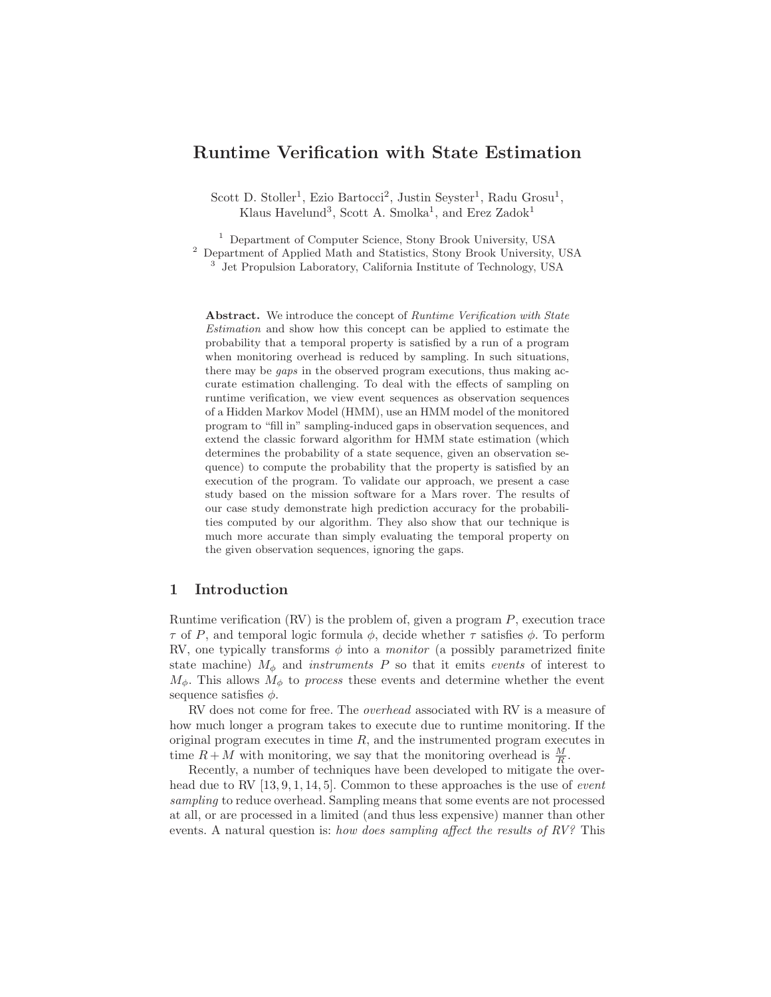# **Runtime Verification with State Estimation**

Scott D. Stoller<sup>1</sup>, Ezio Bartocci<sup>2</sup>, Justin Seyster<sup>1</sup>, Radu Grosu<sup>1</sup>, Klaus Havelund<sup>3</sup>, Scott A. Smolka<sup>1</sup>, and Erez Zadok<sup>1</sup>

 $^{\rm 1}$  Department of Computer Science, Stony Brook University, USA $^{\rm 2}$  Department of Applied Math and Statistics, Stony Brook University, USA

<sup>3</sup> Jet Propulsion Laboratory, California Institute of Technology, USA

Abstract. We introduce the concept of Runtime Verification with State Estimation and show how this concept can be applied to estimate the probability that a temporal property is satisfied by a run of a program when monitoring overhead is reduced by sampling. In such situations, there may be gaps in the observed program executions, thus making accurate estimation challenging. To deal with the effects of sampling on runtime verification, we view event sequences as observation sequences of a Hidden Markov Model (HMM), use an HMM model of the monitored program to "fill in" sampling-induced gaps in observation sequences, and extend the classic forward algorithm for HMM state estimation (which determines the probability of a state sequence, given an observation sequence) to compute the probability that the property is satisfied by an execution of the program. To validate our approach, we present a case study based on the mission software for a Mars rover. The results of our case study demonstrate high prediction accuracy for the probabilities computed by our algorithm. They also show that our technique is much more accurate than simply evaluating the temporal property on the given observation sequences, ignoring the gaps.

# **1 Introduction**

Runtime verification  $(RV)$  is the problem of, given a program  $P$ , execution trace  $\tau$  of P, and temporal logic formula  $\phi$ , decide whether  $\tau$  satisfies  $\phi$ . To perform RV, one typically transforms  $\phi$  into a *monitor* (a possibly parametrized finite state machine)  $M_{\phi}$  and *instruments P* so that it emits *events* of interest to  $M_{\phi}$ . This allows  $M_{\phi}$  to process these events and determine whether the event sequence satisfies  $\phi$ .

RV does not come for free. The overhead associated with RV is a measure of how much longer a program takes to execute due to runtime monitoring. If the original program executes in time  $R$ , and the instrumented program executes in time  $R + M$  with monitoring, we say that the monitoring overhead is  $\frac{M}{R}$ .<br>Recently a number of techniques have been developed to mitigate the

Recently, a number of techniques have been developed to mitigate the overhead due to RV [13, 9, 1, 14, 5]. Common to these approaches is the use of *event* sampling to reduce overhead. Sampling means that some events are not processed at all, or are processed in a limited (and thus less expensive) manner than other events. A natural question is: how does sampling affect the results of RV? This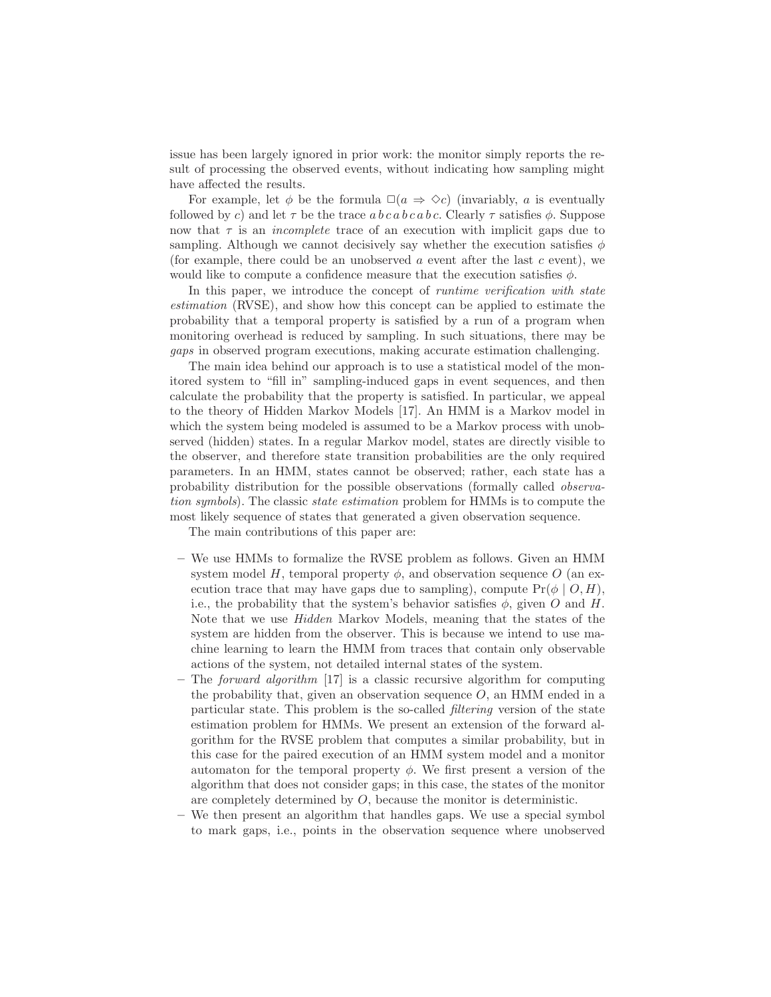issue has been largely ignored in prior work: the monitor simply reports the result of processing the observed events, without indicating how sampling might have affected the results.

For example, let  $\phi$  be the formula  $\square(a \Rightarrow \Diamond c)$  (invariably, a is eventually followed by c) and let  $\tau$  be the trace  $a b c a b c a b c$ . Clearly  $\tau$  satisfies  $\phi$ . Suppose now that  $\tau$  is an *incomplete* trace of an execution with implicit gaps due to sampling. Although we cannot decisively say whether the execution satisfies  $\phi$ (for example, there could be an unobserved  $a$  event after the last  $c$  event), we would like to compute a confidence measure that the execution satisfies  $\phi$ .

In this paper, we introduce the concept of *runtime verification with state* estimation (RVSE), and show how this concept can be applied to estimate the probability that a temporal property is satisfied by a run of a program when monitoring overhead is reduced by sampling. In such situations, there may be gaps in observed program executions, making accurate estimation challenging.

The main idea behind our approach is to use a statistical model of the monitored system to "fill in" sampling-induced gaps in event sequences, and then calculate the probability that the property is satisfied. In particular, we appeal to the theory of Hidden Markov Models [17]. An HMM is a Markov model in which the system being modeled is assumed to be a Markov process with unobserved (hidden) states. In a regular Markov model, states are directly visible to the observer, and therefore state transition probabilities are the only required parameters. In an HMM, states cannot be observed; rather, each state has a probability distribution for the possible observations (formally called observation symbols). The classic state estimation problem for HMMs is to compute the most likely sequence of states that generated a given observation sequence.

The main contributions of this paper are:

- **–** We use HMMs to formalize the RVSE problem as follows. Given an HMM system model H, temporal property  $\phi$ , and observation sequence O (an execution trace that may have gaps due to sampling), compute  $Pr(\phi \mid O, H)$ , i.e., the probability that the system's behavior satisfies  $\phi$ , given O and H. Note that we use Hidden Markov Models, meaning that the states of the system are hidden from the observer. This is because we intend to use machine learning to learn the HMM from traces that contain only observable actions of the system, not detailed internal states of the system.
- **–** The forward algorithm [17] is a classic recursive algorithm for computing the probability that, given an observation sequence  $O$ , an HMM ended in a particular state. This problem is the so-called filtering version of the state estimation problem for HMMs. We present an extension of the forward algorithm for the RVSE problem that computes a similar probability, but in this case for the paired execution of an HMM system model and a monitor automaton for the temporal property  $\phi$ . We first present a version of the algorithm that does not consider gaps; in this case, the states of the monitor are completely determined by  $O$ , because the monitor is deterministic.
- **–** We then present an algorithm that handles gaps. We use a special symbol to mark gaps, i.e., points in the observation sequence where unobserved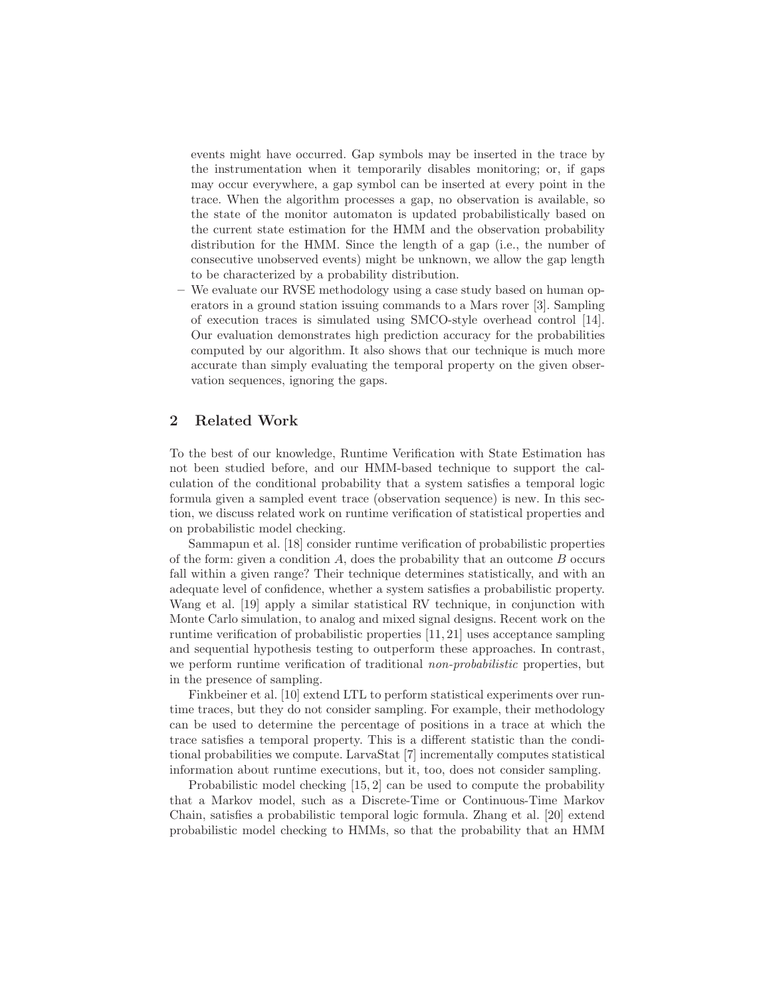events might have occurred. Gap symbols may be inserted in the trace by the instrumentation when it temporarily disables monitoring; or, if gaps may occur everywhere, a gap symbol can be inserted at every point in the trace. When the algorithm processes a gap, no observation is available, so the state of the monitor automaton is updated probabilistically based on the current state estimation for the HMM and the observation probability distribution for the HMM. Since the length of a gap (i.e., the number of consecutive unobserved events) might be unknown, we allow the gap length to be characterized by a probability distribution.

We evaluate our RVSE methodology using a case study based on human operators in a ground station issuing commands to a Mars rover [3]. Sampling of execution traces is simulated using SMCO-style overhead control [14]. Our evaluation demonstrates high prediction accuracy for the probabilities computed by our algorithm. It also shows that our technique is much more accurate than simply evaluating the temporal property on the given observation sequences, ignoring the gaps.

#### **2 Related Work**

To the best of our knowledge, Runtime Verification with State Estimation has not been studied before, and our HMM-based technique to support the calculation of the conditional probability that a system satisfies a temporal logic formula given a sampled event trace (observation sequence) is new. In this section, we discuss related work on runtime verification of statistical properties and on probabilistic model checking.

Sammapun et al. [18] consider runtime verification of probabilistic properties of the form: given a condition  $A$ , does the probability that an outcome  $B$  occurs fall within a given range? Their technique determines statistically, and with an adequate level of confidence, whether a system satisfies a probabilistic property. Wang et al. [19] apply a similar statistical RV technique, in conjunction with Monte Carlo simulation, to analog and mixed signal designs. Recent work on the runtime verification of probabilistic properties [11, 21] uses acceptance sampling and sequential hypothesis testing to outperform these approaches. In contrast, we perform runtime verification of traditional *non-probabilistic* properties, but in the presence of sampling.

Finkbeiner et al. [10] extend LTL to perform statistical experiments over runtime traces, but they do not consider sampling. For example, their methodology can be used to determine the percentage of positions in a trace at which the trace satisfies a temporal property. This is a different statistic than the conditional probabilities we compute. LarvaStat [7] incrementally computes statistical information about runtime executions, but it, too, does not consider sampling.

Probabilistic model checking [15, 2] can be used to compute the probability that a Markov model, such as a Discrete-Time or Continuous-Time Markov Chain, satisfies a probabilistic temporal logic formula. Zhang et al. [20] extend probabilistic model checking to HMMs, so that the probability that an HMM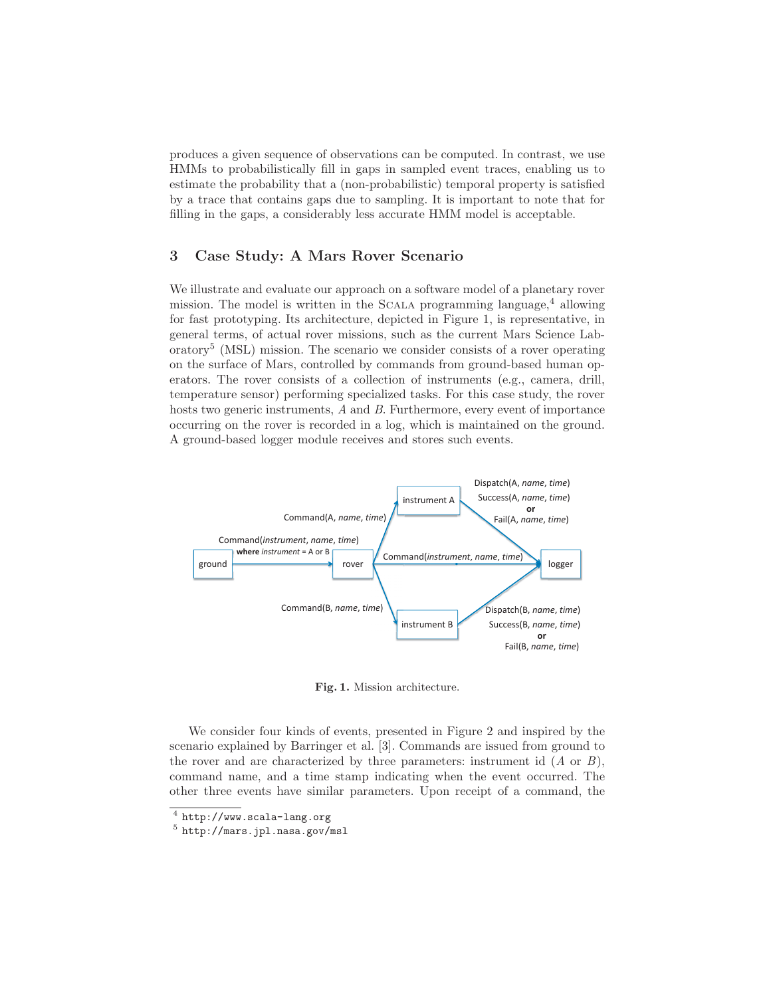produces a given sequence of observations can be computed. In contrast, we use HMMs to probabilistically fill in gaps in sampled event traces, enabling us to estimate the probability that a (non-probabilistic) temporal property is satisfied by a trace that contains gaps due to sampling. It is important to note that for filling in the gaps, a considerably less accurate HMM model is acceptable.

# **3 Case Study: A Mars Rover Scenario**

We illustrate and evaluate our approach on a software model of a planetary rover mission. The model is written in the SCALA programming language, $4$  allowing for fast prototyping. Its architecture, depicted in Figure 1, is representative, in general terms, of actual rover missions, such as the current Mars Science Laboratory<sup>5</sup> (MSL) mission. The scenario we consider consists of a rover operating on the surface of Mars, controlled by commands from ground-based human operators. The rover consists of a collection of instruments (e.g., camera, drill, temperature sensor) performing specialized tasks. For this case study, the rover hosts two generic instruments, A and B. Furthermore, every event of importance occurring on the rover is recorded in a log, which is maintained on the ground. A ground-based logger module receives and stores such events.



**Fig. 1.** Mission architecture.

We consider four kinds of events, presented in Figure 2 and inspired by the scenario explained by Barringer et al. [3]. Commands are issued from ground to the rover and are characterized by three parameters: instrument id  $(A \text{ or } B)$ , command name, and a time stamp indicating when the event occurred. The other three events have similar parameters. Upon receipt of a command, the

 $^4$  http://www.scala-lang.org<br>  $^5$  http://mars.jpl.nasa.gov/msl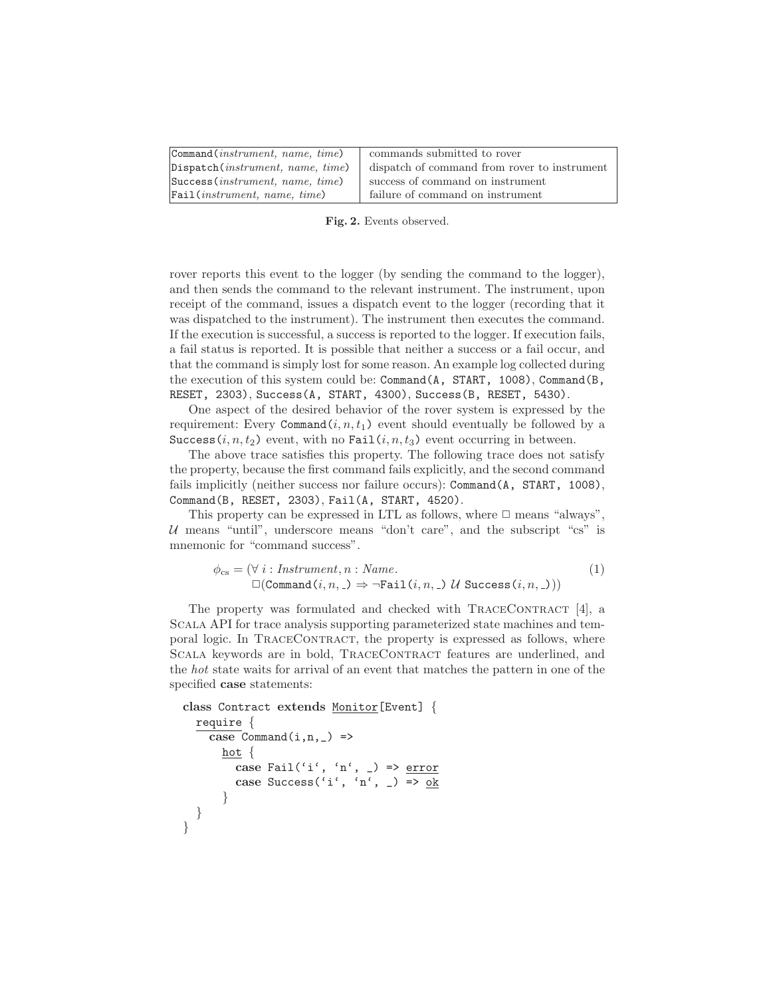| Command ( <i>instrument, name, time</i> ) | commands submitted to rover                  |
|-------------------------------------------|----------------------------------------------|
| Dispatch(instrument, name, time)          | dispatch of command from rover to instrument |
| $\text{Success}(instrument, name, time)$  | success of command on instrument             |
| [Fair(instrument, name, time)]            | failure of command on instrument             |
|                                           |                                              |

**Fig. 2.** Events observed.

rover reports this event to the logger (by sending the command to the logger), and then sends the command to the relevant instrument. The instrument, upon receipt of the command, issues a dispatch event to the logger (recording that it was dispatched to the instrument). The instrument then executes the command. If the execution is successful, a success is reported to the logger. If execution fails, a fail status is reported. It is possible that neither a success or a fail occur, and that the command is simply lost for some reason. An example log collected during the execution of this system could be: Command(A, START, 1008), Command(B, RESET, 2303), Success(A, START, 4300), Success(B, RESET, 5430).

One aspect of the desired behavior of the rover system is expressed by the requirement: Every Command $(i, n, t_1)$  event should eventually be followed by a Success $(i, n, t_2)$  event, with no Fail $(i, n, t_3)$  event occurring in between.

The above trace satisfies this property. The following trace does not satisfy the property, because the first command fails explicitly, and the second command fails implicitly (neither success nor failure occurs): Command(A, START, 1008), Command(B, RESET, 2303), Fail(A, START, 4520).

This property can be expressed in LTL as follows, where  $\Box$  means "always",  $U$  means "until", underscore means "don't care", and the subscript "cs" is mnemonic for "command success".

$$
\phi_{\text{cs}} = (\forall i : Instrument, n : Name. \n\Box(\text{Command}(i, n, \_) \Rightarrow \neg \text{Tail}(i, n, \_) \ U \text{ Success}(i, n, \_)) )
$$
\n(1)

The property was formulated and checked with TRACECONTRACT [4], a Scala API for trace analysis supporting parameterized state machines and temporal logic. In TRACECONTRACT, the property is expressed as follows, where SCALA keywords are in bold, TRACECONTRACT features are underlined, and the hot state waits for arrival of an event that matches the pattern in one of the specified **case** statements:

```
class Contract extends Monitor[Event] {
  require {
    case \, Command(i, n, _{\_}) \Rightarrowhot \{case Fail('i', 'n', _) => error
         case Success('i', 'n', _) => ok
      }
  }
}
```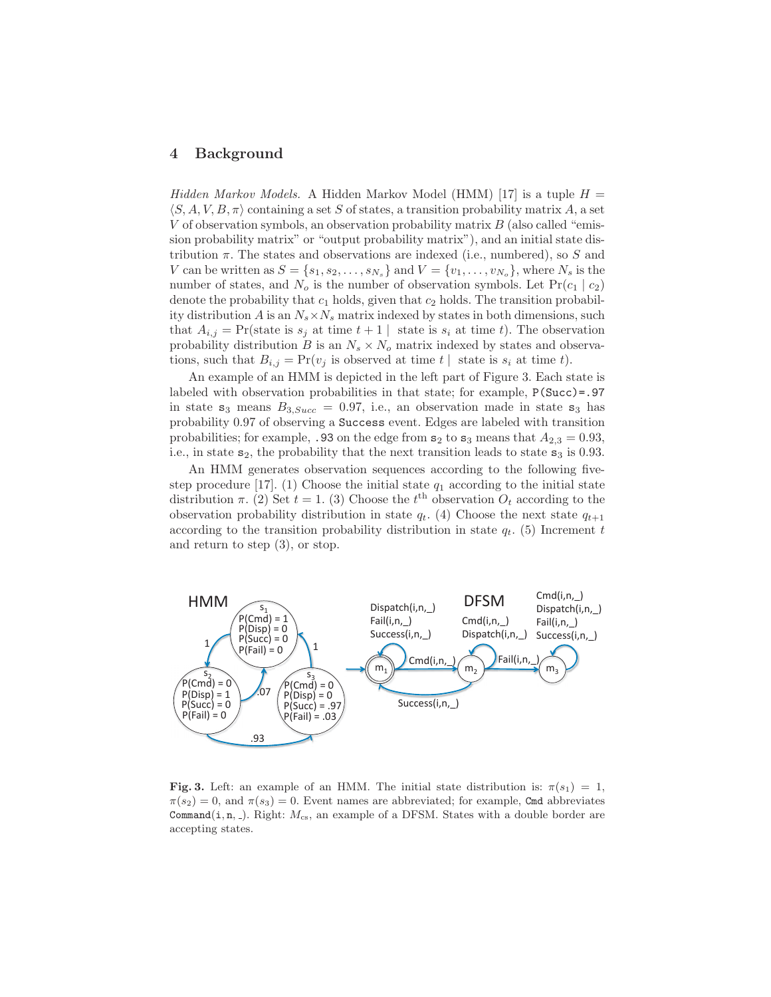### **4 Background**

Hidden Markov Models. A Hidden Markov Model (HMM) [17] is a tuple  $H =$  $\langle S, A, V, B, \pi \rangle$  containing a set S of states, a transition probability matrix A, a set V of observation symbols, an observation probability matrix  $B$  (also called "emission probability matrix" or "output probability matrix"), and an initial state distribution  $\pi$ . The states and observations are indexed (i.e., numbered), so S and V can be written as  $S = \{s_1, s_2, \ldots, s_{N_s}\}\$  and  $V = \{v_1, \ldots, v_{N_o}\}\$ , where  $N_s$  is the number of states, and  $N_o$  is the number of observation symbols. Let  $Pr(c_1 | c_2)$ denote the probability that  $c_1$  holds, given that  $c_2$  holds. The transition probability distribution A is an  $N_s \times N_s$  matrix indexed by states in both dimensions, such that  $A_{i,j} = \Pr(\text{state is } s_j \text{ at time } t+1 \mid \text{ state is } s_i \text{ at time } t).$  The observation probability distribution  $B$  is an  $N_s \times N_o$  matrix indexed by states and observations, such that  $B_{i,j} = \Pr(v_i)$  is observed at time t | state is  $s_i$  at time t.

An example of an HMM is depicted in the left part of Figure 3. Each state is labeled with observation probabilities in that state; for example, P(Succ)=.97 in state  $s_3$  means  $B_{3,Succ} = 0.97$ , i.e., an observation made in state  $s_3$  has probability 0.97 of observing a Success event. Edges are labeled with transition probabilities; for example, .93 on the edge from  $s_2$  to  $s_3$  means that  $A_{2,3} = 0.93$ , i.e., in state  $s_2$ , the probability that the next transition leads to state  $s_3$  is 0.93.

An HMM generates observation sequences according to the following fivestep procedure [17]. (1) Choose the initial state  $q_1$  according to the initial state distribution  $\pi$ . (2) Set  $t = 1$ . (3) Choose the  $t^{\text{th}}$  observation  $O_t$  according to the observation probability distribution in state  $a_t$ . (4) Choose the next state  $a_{t+1}$ observation probability distribution in state  $q_t$ . (4) Choose the next state  $q_{t+1}$ according to the transition probability distribution in state  $q_t$ . (5) Increment t and return to step (3), or stop.



**Fig. 3.** Left: an example of an HMM. The initial state distribution is:  $\pi(s_1) = 1$ ,  $\pi(s_2) = 0$ , and  $\pi(s_3) = 0$ . Event names are abbreviated; for example, Cmd abbreviates Command $(i, n, ...)$ . Right:  $M_{cs}$ , an example of a DFSM. States with a double border are accepting states.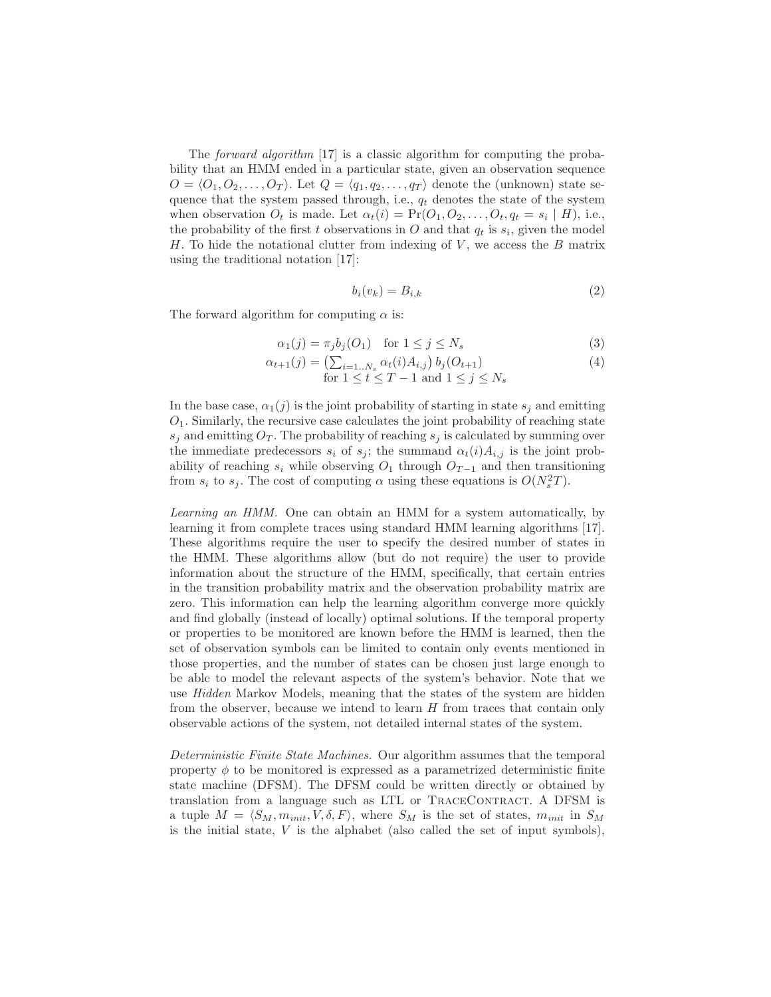The *forward algorithm* [17] is a classic algorithm for computing the probability that an HMM ended in a particular state, given an observation sequence  $O = \langle O_1, O_2, \ldots, O_T \rangle$ . Let  $Q = \langle q_1, q_2, \ldots, q_T \rangle$  denote the (unknown) state sequence that the system passed through, i.e.,  $q_t$  denotes the state of the system when observation  $O_t$  is made. Let  $\alpha_t(i) = \Pr(O_1, O_2, \ldots, O_t, q_t = s_i | H)$ , i.e., the probability of the first t observations in O and that  $q_t$  is  $s_i$ , given the model  $H$ . To hide the notational clutter from indexing of  $V$ , we access the  $B$  matrix using the traditional notation [17]:

$$
b_i(v_k) = B_{i,k} \tag{2}
$$

The forward algorithm for computing  $\alpha$  is:

$$
\alpha_1(j) = \pi_j b_j(O_1) \quad \text{for } 1 \le j \le N_s \tag{3}
$$

$$
\alpha_{t+1}(j) = \left(\sum_{i=1..N_s} \alpha_t(i) A_{i,j}\right) b_j(O_{t+1})
$$
  
for  $1 \le t \le T-1$  and  $1 \le j \le N_s$  (4)

In the base case,  $\alpha_1(j)$  is the joint probability of starting in state  $s_j$  and emitting  $O<sub>1</sub>$ . Similarly, the recursive case calculates the joint probability of reaching state  $s_j$  and emitting  $O_T$ . The probability of reaching  $s_j$  is calculated by summing over the immediate predecessors  $s_i$  of  $s_j$ ; the summand  $\alpha_t(i)A_{i,j}$  is the joint probability of reaching  $s_i$  while observing  $O_1$  through  $O_{T-1}$  and then transitioning from  $s_i$  to  $s_j$ . The cost of computing  $\alpha$  using these equations is  $O(N_s^2T)$ .

Learning an HMM. One can obtain an HMM for a system automatically, by learning it from complete traces using standard HMM learning algorithms [17]. These algorithms require the user to specify the desired number of states in the HMM. These algorithms allow (but do not require) the user to provide information about the structure of the HMM, specifically, that certain entries in the transition probability matrix and the observation probability matrix are zero. This information can help the learning algorithm converge more quickly and find globally (instead of locally) optimal solutions. If the temporal property or properties to be monitored are known before the HMM is learned, then the set of observation symbols can be limited to contain only events mentioned in those properties, and the number of states can be chosen just large enough to be able to model the relevant aspects of the system's behavior. Note that we use *Hidden* Markov Models, meaning that the states of the system are hidden from the observer, because we intend to learn  $H$  from traces that contain only observable actions of the system, not detailed internal states of the system.

Deterministic Finite State Machines. Our algorithm assumes that the temporal property  $\phi$  to be monitored is expressed as a parametrized deterministic finite state machine (DFSM). The DFSM could be written directly or obtained by translation from a language such as LTL or TRACECONTRACT. A DFSM is a tuple  $M = \langle S_M, m_{init}, V, \delta, F \rangle$ , where  $S_M$  is the set of states,  $m_{init}$  in  $S_M$ is the initial state,  $V$  is the alphabet (also called the set of input symbols),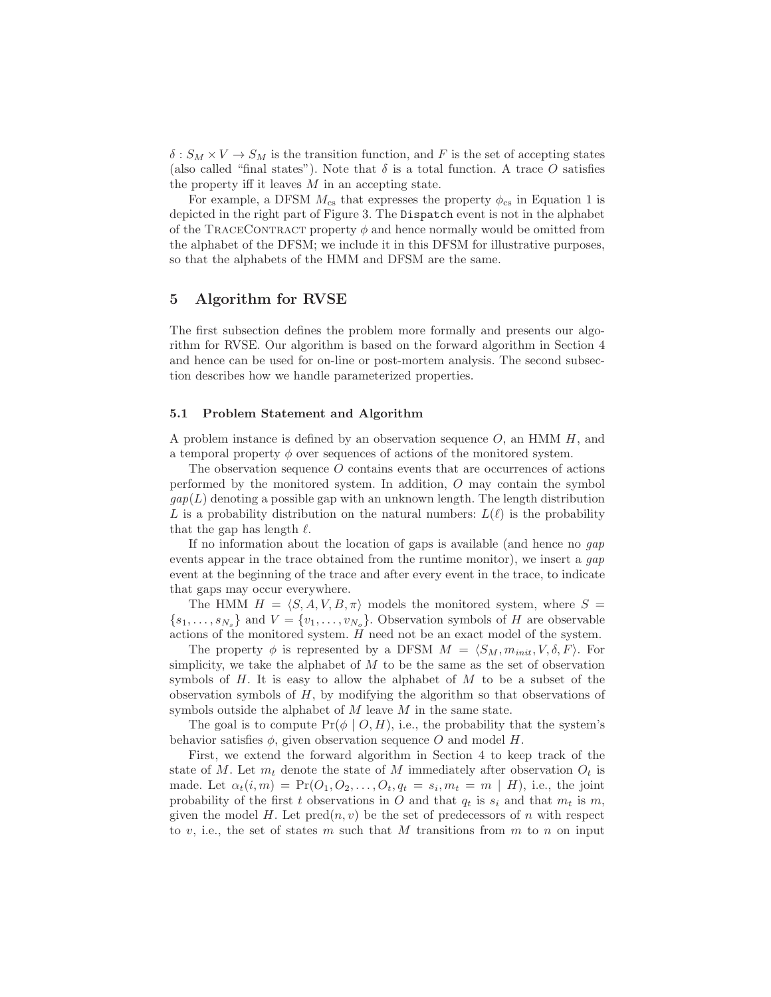$\delta: S_M \times V \to S_M$  is the transition function, and F is the set of accepting states (also called "final states"). Note that  $\delta$  is a total function. A trace O satisfies the property iff it leaves  $M$  in an accepting state.

For example, a DFSM  $M_{cs}$  that expresses the property  $\phi_{cs}$  in Equation 1 is depicted in the right part of Figure 3. The Dispatch event is not in the alphabet of the TRACECONTRACT property  $\phi$  and hence normally would be omitted from the alphabet of the DFSM; we include it in this DFSM for illustrative purposes, so that the alphabets of the HMM and DFSM are the same.

### **5 Algorithm for RVSE**

The first subsection defines the problem more formally and presents our algorithm for RVSE. Our algorithm is based on the forward algorithm in Section 4 and hence can be used for on-line or post-mortem analysis. The second subsection describes how we handle parameterized properties.

#### **5.1 Problem Statement and Algorithm**

A problem instance is defined by an observation sequence  $O$ , an HMM  $H$ , and a temporal property  $\phi$  over sequences of actions of the monitored system.

The observation sequence  $O$  contains events that are occurrences of actions performed by the monitored system. In addition, O may contain the symbol  $gap(L)$  denoting a possible gap with an unknown length. The length distribution L is a probability distribution on the natural numbers:  $L(\ell)$  is the probability that the gap has length  $\ell$ .

If no information about the location of gaps is available (and hence no  $qap$ ) events appear in the trace obtained from the runtime monitor), we insert a gap event at the beginning of the trace and after every event in the trace, to indicate that gaps may occur everywhere.

The HMM  $H = \langle S, A, V, B, \pi \rangle$  models the monitored system, where  $S =$  ${s_1,\ldots,s_{N_s}}$  and  $V = {v_1,\ldots,v_{N_s}}$ . Observation symbols of H are observable actions of the monitored system. H need not be an exact model of the system.

The property  $\phi$  is represented by a DFSM  $M = \langle S_M, m_{init}, V, \delta, F \rangle$ . For simplicity, we take the alphabet of  $M$  to be the same as the set of observation symbols of  $H$ . It is easy to allow the alphabet of  $M$  to be a subset of the observation symbols of  $H$ , by modifying the algorithm so that observations of symbols outside the alphabet of  $M$  leave  $M$  in the same state.

The goal is to compute  $Pr(\phi \mid O, H)$ , i.e., the probability that the system's behavior satisfies  $\phi$ , given observation sequence O and model H.

First, we extend the forward algorithm in Section 4 to keep track of the state of M. Let  $m_t$  denote the state of M immediately after observation  $O_t$  is made. Let  $\alpha_t(i,m) = \Pr(O_1, O_2, \ldots, O_t, q_t = s_i, m_t = m | H)$ , i.e., the joint probability of the first t observations in O and that  $q_t$  is  $s_i$  and that  $m_t$  is m, given the model H. Let  $\text{pred}(n, v)$  be the set of predecessors of n with respect to v, i.e., the set of states m such that M transitions from m to n on input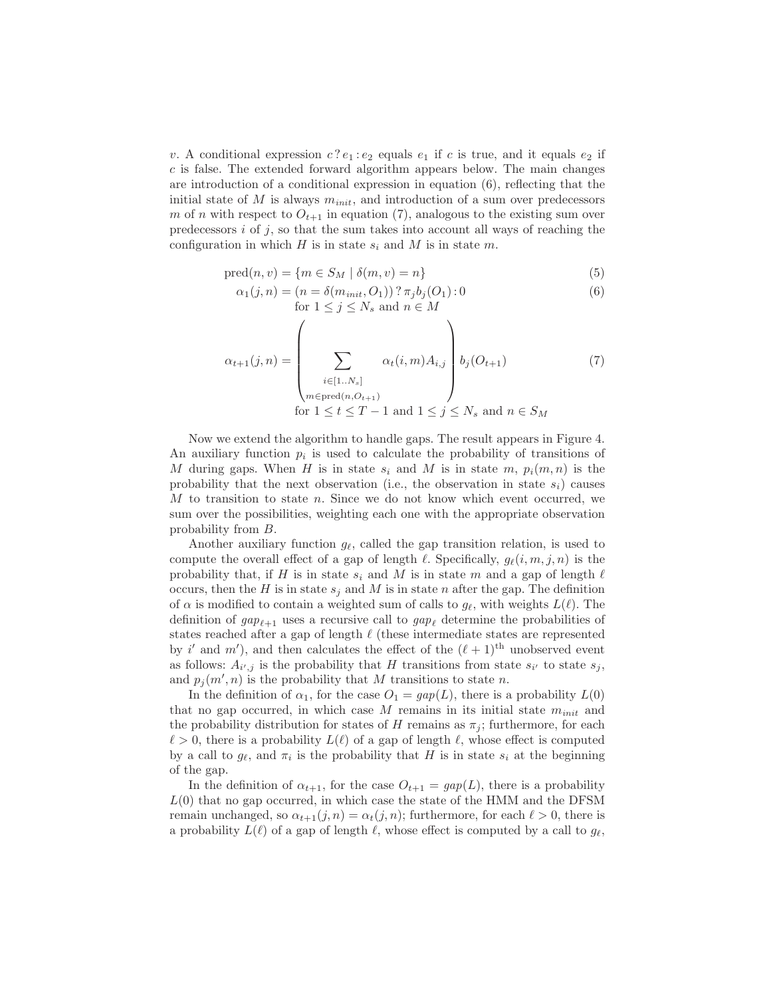v. A conditional expression  $c$ ?  $e_1 : e_2$  equals  $e_1$  if c is true, and it equals  $e_2$  if c is false. The extended forward algorithm appears below. The main changes are introduction of a conditional expression in equation (6), reflecting that the initial state of  $M$  is always  $m_{init}$ , and introduction of a sum over predecessors m of n with respect to  $O_{t+1}$  in equation (7), analogous to the existing sum over predecessors  $i$  of  $j$ , so that the sum takes into account all ways of reaching the configuration in which H is in state  $s_i$  and M is in state m.

$$
pred(n, v) = \{m \in S_M \mid \delta(m, v) = n\}
$$
\n(5)

$$
\alpha_1(j,n) = (n = \delta(m_{init}, O_1)) ? \pi_j b_j(O_1) : 0
$$
  
for  $1 \le j \le N_s$  and  $n \in M$  (6)

$$
\alpha_{t+1}(j,n) = \left(\sum_{\substack{i \in [1..N_s] \\ m \in \text{pred}(n, O_{t+1})}} \alpha_t(i,m) A_{i,j}\right) b_j(O_{t+1}) \tag{7}
$$
  
for  $1 \le t \le T-1$  and  $1 \le j \le N_s$  and  $n \in S_M$ 

Now we extend the algorithm to handle gaps. The result appears in Figure 4. An auxiliary function  $p_i$  is used to calculate the probability of transitions of M during gaps. When H is in state  $s_i$  and M is in state  $m$ ,  $p_i(m, n)$  is the probability that the next observation (i.e., the observation in state  $s_i$ ) causes  $M$  to transition to state  $n$ . Since we do not know which event occurred, we sum over the possibilities, weighting each one with the appropriate observation probability from B.

Another auxiliary function  $g_{\ell}$ , called the gap transition relation, is used to compute the overall effect of a gap of length  $\ell$ . Specifically,  $g_{\ell}(i, m, j, n)$  is the probability that, if H is in state  $s_i$  and M is in state m and a gap of length  $\ell$ occurs, then the H is in state  $s_i$  and M is in state n after the gap. The definition of  $\alpha$  is modified to contain a weighted sum of calls to  $g_{\ell}$ , with weights  $L(\ell)$ . The definition of  $gap_{\ell+1}$  uses a recursive call to  $gap_{\ell}$  determine the probabilities of states reached after a gap of length  $\ell$  (these intermediate states are represented by i' and m'), and then calculates the effect of the  $(\ell + 1)$ <sup>th</sup> unobserved event as follows:  $A_{\ell + 1}$  is the probability that H transitions from state su to state s. as follows:  $A_{i',j}$  is the probability that H transitions from state  $s_{i'}$  to state  $s_j$ ,<br>and  $n_i(m', n)$  is the probability that M transitions to state n and  $p_j(m', n)$  is the probability that M transitions to state n.<br>In the definition of  $\alpha_k$  for the case  $\Omega_k = \text{gen}(L)$  there is a

In the definition of  $\alpha_1$ , for the case  $O_1 = gap(L)$ , there is a probability  $L(0)$ that no gap occurred, in which case M remains in its initial state  $m_{init}$  and the probability distribution for states of H remains as  $\pi_j$ ; furthermore, for each  $\ell > 0$ , there is a probability  $L(\ell)$  of a gap of length  $\ell$ , whose effect is computed by a call to  $g_{\ell}$ , and  $\pi_i$  is the probability that H is in state  $s_i$  at the beginning of the gap.

In the definition of  $\alpha_{t+1}$ , for the case  $O_{t+1} = gap(L)$ , there is a probability  $L(0)$  that no gap occurred, in which case the state of the HMM and the DFSM remain unchanged, so  $\alpha_{t+1}(j, n) = \alpha_t(j, n)$ ; furthermore, for each  $\ell > 0$ , there is a probability  $L(\ell)$  of a gap of length  $\ell$ , whose effect is computed by a call to  $g_{\ell}$ ,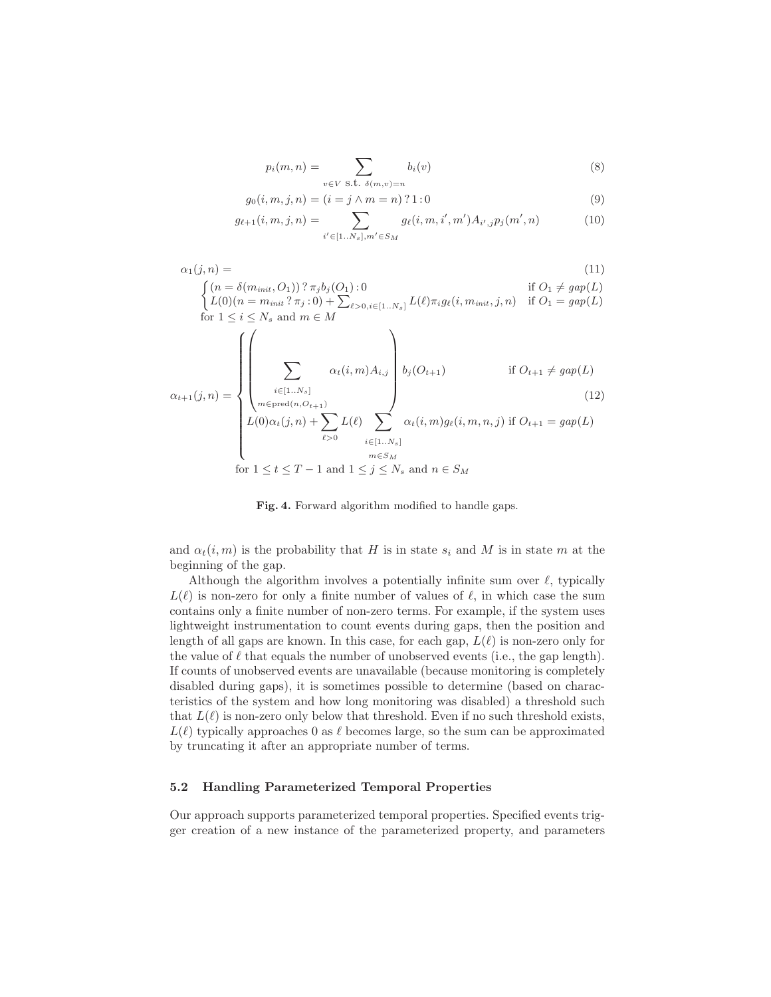$$
p_i(m,n) = \sum_{v \in V \text{ s.t. } \delta(m,v)=n} b_i(v)
$$
\n(8)

$$
g_0(i, m, j, n) = (i = j \land m = n)? 1:0
$$
\n(9)

$$
g_{\ell+1}(i,m,j,n) = \sum_{i' \in [1..N_s], m' \in S_M} g_{\ell}(i,m,i',m') A_{i',j} p_j(m',n)
$$
(10)

$$
\alpha_1(j,n) = \n\begin{cases}\n(n = \delta(m_{init}, O_1)) ? \pi_j b_j(O_1) : 0 & \text{if } O_1 \neq gap(L) \\
L(0)(n = m_{init} ? \pi_j : 0) + \sum_{\ell > 0, i \in [1..N_s]} L(\ell) \pi_i g_\ell(i, m_{init}, j, n) & \text{if } O_1 = gap(L) \\
\text{for } 1 \leq i \leq N_s \text{ and } m \in M\n\end{cases} \tag{11}
$$

$$
\alpha_{t+1}(j,n) = \begin{cases}\n\left(\sum_{\substack{i \in [1..N_s] \\ m \in \text{pred}(n, O_{t+1})}} \alpha_t(i,m) A_{i,j}\right) b_j(O_{t+1}) & \text{if } O_{t+1} \neq gap(L) \\
L(0) \alpha_t(j,n) + \sum_{\ell > 0} L(\ell) \sum_{\substack{i \in [1..N_s] \\ m \in S_M}} \alpha_t(i,m) g_\ell(i,m,n,j) & \text{if } O_{t+1} = gap(L) \\
\text{for } 1 \leq t \leq T-1 \text{ and } 1 \leq j \leq N_s \text{ and } n \in S_M\n\end{cases}
$$
\n(12)

**Fig. 4.** Forward algorithm modified to handle gaps.

and  $\alpha_t(i, m)$  is the probability that H is in state  $s_i$  and M is in state m at the beginning of the gap.

Although the algorithm involves a potentially infinite sum over  $\ell$ , typically  $L(\ell)$  is non-zero for only a finite number of values of  $\ell$ , in which case the sum contains only a finite number of non-zero terms. For example, if the system uses lightweight instrumentation to count events during gaps, then the position and length of all gaps are known. In this case, for each gap,  $L(\ell)$  is non-zero only for the value of  $\ell$  that equals the number of unobserved events (i.e., the gap length). If counts of unobserved events are unavailable (because monitoring is completely disabled during gaps), it is sometimes possible to determine (based on characteristics of the system and how long monitoring was disabled) a threshold such that  $L(\ell)$  is non-zero only below that threshold. Even if no such threshold exists,  $L(\ell)$  typically approaches 0 as  $\ell$  becomes large, so the sum can be approximated by truncating it after an appropriate number of terms.

#### **5.2 Handling Parameterized Temporal Properties**

Our approach supports parameterized temporal properties. Specified events trigger creation of a new instance of the parameterized property, and parameters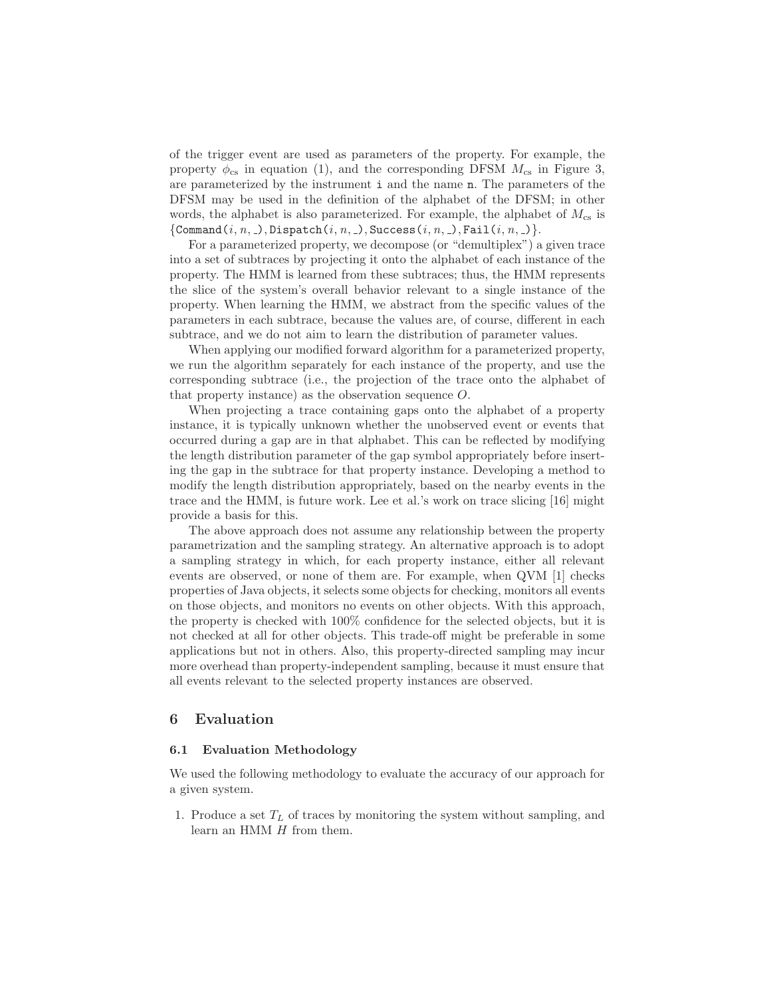of the trigger event are used as parameters of the property. For example, the property  $\phi_{cs}$  in equation (1), and the corresponding DFSM  $M_{cs}$  in Figure 3, are parameterized by the instrument i and the name n. The parameters of the DFSM may be used in the definition of the alphabet of the DFSM; in other words, the alphabet is also parameterized. For example, the alphabet of  $M_{\rm cs}$  is  ${\mathcal{S}(\text{Command}(i, n, \_), \text{Dispatch}(i, n, \_), \text{Success}(i, n, \_), \text{Tail}(i, n, \_)}$ .

For a parameterized property, we decompose (or "demultiplex") a given trace into a set of subtraces by projecting it onto the alphabet of each instance of the property. The HMM is learned from these subtraces; thus, the HMM represents the slice of the system's overall behavior relevant to a single instance of the property. When learning the HMM, we abstract from the specific values of the parameters in each subtrace, because the values are, of course, different in each subtrace, and we do not aim to learn the distribution of parameter values.

When applying our modified forward algorithm for a parameterized property, we run the algorithm separately for each instance of the property, and use the corresponding subtrace (i.e., the projection of the trace onto the alphabet of that property instance) as the observation sequence O.

When projecting a trace containing gaps onto the alphabet of a property instance, it is typically unknown whether the unobserved event or events that occurred during a gap are in that alphabet. This can be reflected by modifying the length distribution parameter of the gap symbol appropriately before inserting the gap in the subtrace for that property instance. Developing a method to modify the length distribution appropriately, based on the nearby events in the trace and the HMM, is future work. Lee et al.'s work on trace slicing [16] might provide a basis for this.

The above approach does not assume any relationship between the property parametrization and the sampling strategy. An alternative approach is to adopt a sampling strategy in which, for each property instance, either all relevant events are observed, or none of them are. For example, when QVM [1] checks properties of Java objects, it selects some objects for checking, monitors all events on those objects, and monitors no events on other objects. With this approach, the property is checked with 100% confidence for the selected objects, but it is not checked at all for other objects. This trade-off might be preferable in some applications but not in others. Also, this property-directed sampling may incur more overhead than property-independent sampling, because it must ensure that all events relevant to the selected property instances are observed.

# **6 Evaluation**

#### **6.1 Evaluation Methodology**

We used the following methodology to evaluate the accuracy of our approach for a given system.

1. Produce a set  $T_L$  of traces by monitoring the system without sampling, and learn an HMM H from them.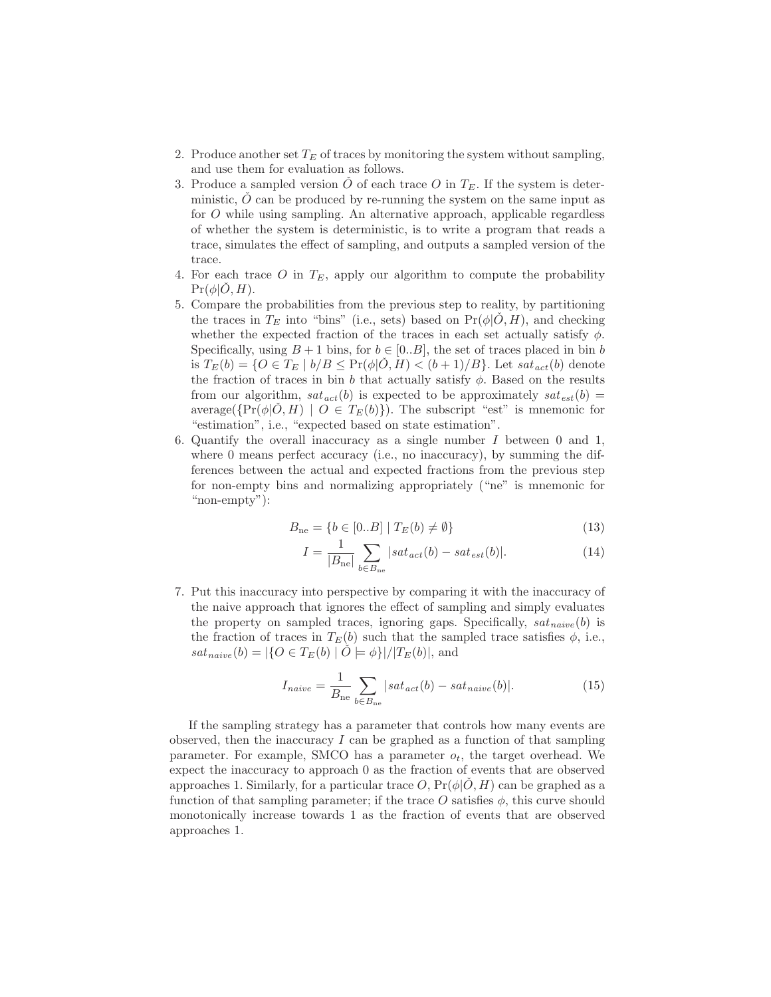- 2. Produce another set  $T_E$  of traces by monitoring the system without sampling, and use them for evaluation as follows.
- 3. Produce a sampled version O of each trace O in  $T_E$ . If the system is deterministic,  $\hat{O}$  can be produced by re-running the system on the same input as for O while using sampling. An alternative approach, applicable regardless of whether the system is deterministic, is to write a program that reads a trace, simulates the effect of sampling, and outputs a sampled version of the trace.
- 4. For each trace O in  $T_E$ , apply our algorithm to compute the probability  $Pr(\phi|O, H)$ .
- 5. Compare the probabilities from the previous step to reality, by partitioning the traces in  $T_E$  into "bins" (i.e., sets) based on  $Pr(\phi|O, H)$ , and checking whether the expected fraction of the traces in each set actually satisfy  $\phi$ . Specifically, using  $B + 1$  bins, for  $b \in [0..B]$ , the set of traces placed in bin b is  $T_E(b) = \{O \in T_E \mid b/B \leq \Pr(\phi|O, H) < (b+1)/B\}$ . Let  $sat_{act}(b)$  denote the fraction of traces in bin b that actually satisfy  $\phi$ . Based on the results from our algorithm,  $sat_{act}(b)$  is expected to be approximately  $sat_{est}(b)$  = average( $\{Pr(\phi|\tilde{O},H) \mid O \in T_E(b)\}\)$ . The subscript "est" is mnemonic for "estimation", i.e., "expected based on state estimation".
- 6. Quantify the overall inaccuracy as a single number  $I$  between 0 and 1, where 0 means perfect accuracy (i.e., no inaccuracy), by summing the differences between the actual and expected fractions from the previous step for non-empty bins and normalizing appropriately ("ne" is mnemonic for "non-empty"):

$$
B_{\text{ne}} = \{b \in [0..B] \mid T_E(b) \neq \emptyset\}
$$
\n(13)

$$
I = \frac{1}{|B_{\text{ne}}|} \sum_{b \in B_{\text{ne}}} |sat_{act}(b) - sat_{est}(b)|.
$$
 (14)

7. Put this inaccuracy into perspective by comparing it with the inaccuracy of the naive approach that ignores the effect of sampling and simply evaluates the property on sampled traces, ignoring gaps. Specifically,  $sat_{naive}(b)$  is the fraction of traces in  $T_E(b)$  such that the sampled trace satisfies  $\phi$ , i.e.,  $sat_{naive}(b) = |\{O \in T_E(b) \mid \check{O} \models \phi\}|/|T_E(b)|$ , and

$$
I_{naive} = \frac{1}{B_{\text{ne}}} \sum_{b \in B_{\text{ne}}} |sat_{act}(b) - sat_{naive}(b)|.
$$
 (15)

If the sampling strategy has a parameter that controls how many events are observed, then the inaccuracy  $I$  can be graphed as a function of that sampling parameter. For example, SMCO has a parameter  $o_t$ , the target overhead. We expect the inaccuracy to approach 0 as the fraction of events that are observed approaches 1. Similarly, for a particular trace  $O, Pr(\phi|O, H)$  can be graphed as a function of that sampling parameter; if the trace O satisfies  $\phi$ , this curve should monotonically increase towards 1 as the fraction of events that are observed approaches 1.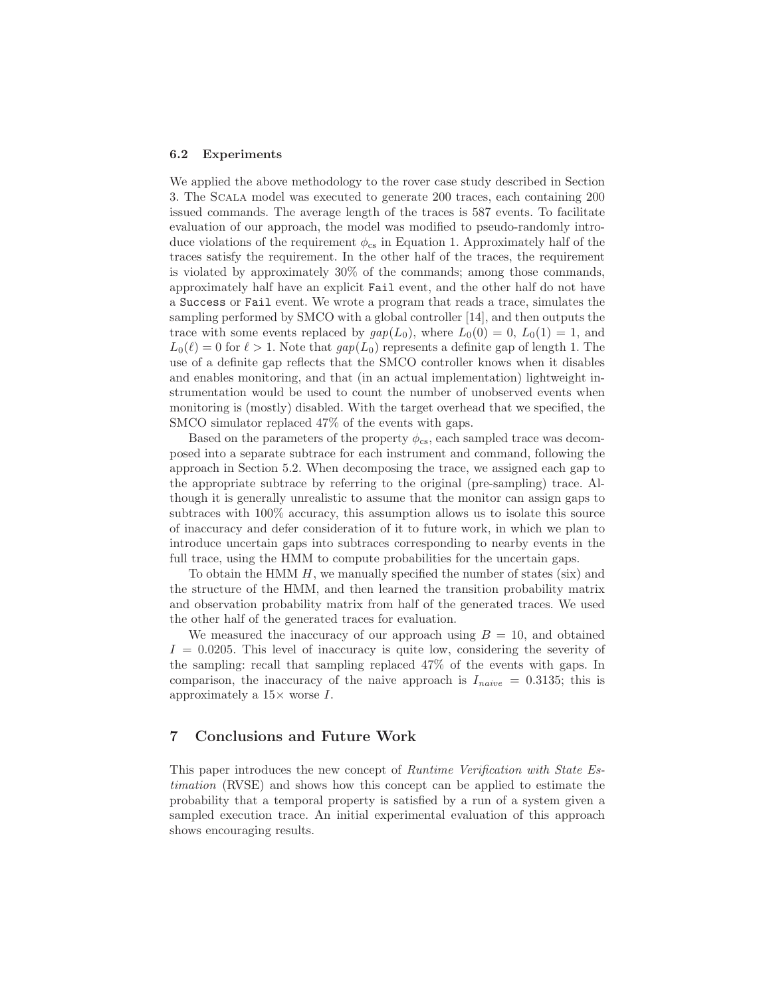#### **6.2 Experiments**

We applied the above methodology to the rover case study described in Section 3. The Scala model was executed to generate 200 traces, each containing 200 issued commands. The average length of the traces is 587 events. To facilitate evaluation of our approach, the model was modified to pseudo-randomly introduce violations of the requirement  $\phi_{\rm cs}$  in Equation 1. Approximately half of the traces satisfy the requirement. In the other half of the traces, the requirement is violated by approximately 30% of the commands; among those commands, approximately half have an explicit Fail event, and the other half do not have a Success or Fail event. We wrote a program that reads a trace, simulates the sampling performed by SMCO with a global controller [14], and then outputs the trace with some events replaced by  $gap(L_0)$ , where  $L_0(0) = 0$ ,  $L_0(1) = 1$ , and  $L_0(\ell) = 0$  for  $\ell > 1$ . Note that  $gap(L_0)$  represents a definite gap of length 1. The use of a definite gap reflects that the SMCO controller knows when it disables and enables monitoring, and that (in an actual implementation) lightweight instrumentation would be used to count the number of unobserved events when monitoring is (mostly) disabled. With the target overhead that we specified, the SMCO simulator replaced 47% of the events with gaps.

Based on the parameters of the property  $\phi_{cs}$ , each sampled trace was decomposed into a separate subtrace for each instrument and command, following the approach in Section 5.2. When decomposing the trace, we assigned each gap to the appropriate subtrace by referring to the original (pre-sampling) trace. Although it is generally unrealistic to assume that the monitor can assign gaps to subtraces with 100% accuracy, this assumption allows us to isolate this source of inaccuracy and defer consideration of it to future work, in which we plan to introduce uncertain gaps into subtraces corresponding to nearby events in the full trace, using the HMM to compute probabilities for the uncertain gaps.

To obtain the HMM  $H$ , we manually specified the number of states (six) and the structure of the HMM, and then learned the transition probability matrix and observation probability matrix from half of the generated traces. We used the other half of the generated traces for evaluation.

We measured the inaccuracy of our approach using  $B = 10$ , and obtained  $I = 0.0205$ . This level of inaccuracy is quite low, considering the severity of the sampling: recall that sampling replaced 47% of the events with gaps. In comparison, the inaccuracy of the naive approach is  $I_{naive} = 0.3135$ ; this is approximately a  $15\times$  worse I.

# **7 Conclusions and Future Work**

This paper introduces the new concept of Runtime Verification with State Estimation (RVSE) and shows how this concept can be applied to estimate the probability that a temporal property is satisfied by a run of a system given a sampled execution trace. An initial experimental evaluation of this approach shows encouraging results.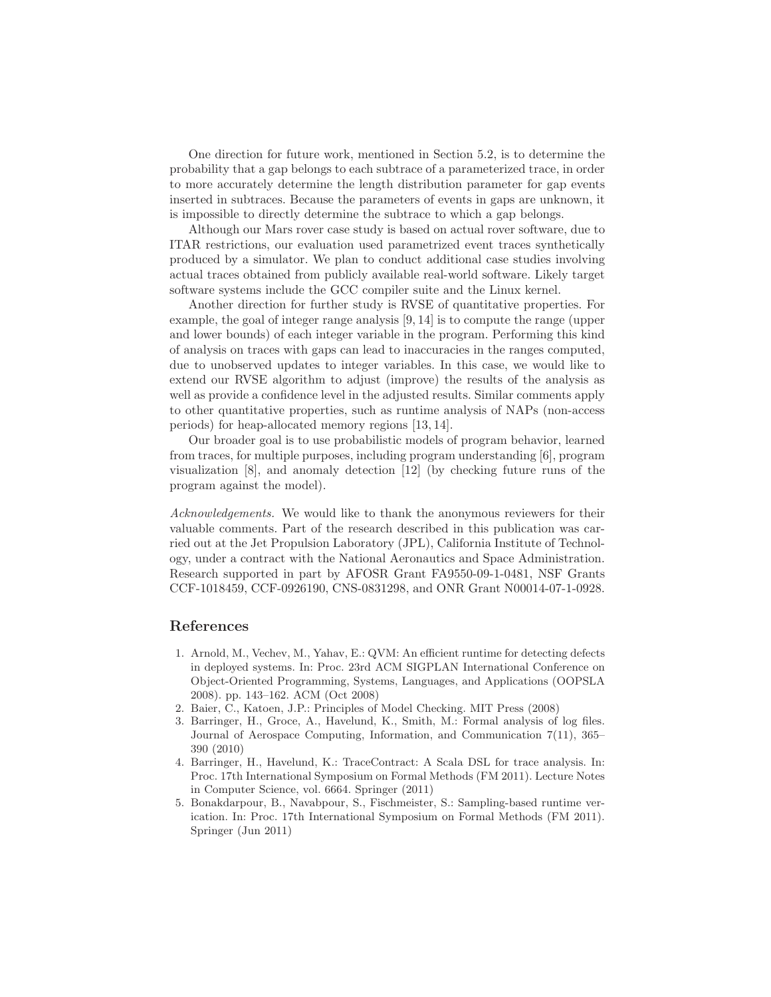One direction for future work, mentioned in Section 5.2, is to determine the probability that a gap belongs to each subtrace of a parameterized trace, in order to more accurately determine the length distribution parameter for gap events inserted in subtraces. Because the parameters of events in gaps are unknown, it is impossible to directly determine the subtrace to which a gap belongs.

Although our Mars rover case study is based on actual rover software, due to ITAR restrictions, our evaluation used parametrized event traces synthetically produced by a simulator. We plan to conduct additional case studies involving actual traces obtained from publicly available real-world software. Likely target software systems include the GCC compiler suite and the Linux kernel.

Another direction for further study is RVSE of quantitative properties. For example, the goal of integer range analysis [9, 14] is to compute the range (upper and lower bounds) of each integer variable in the program. Performing this kind of analysis on traces with gaps can lead to inaccuracies in the ranges computed, due to unobserved updates to integer variables. In this case, we would like to extend our RVSE algorithm to adjust (improve) the results of the analysis as well as provide a confidence level in the adjusted results. Similar comments apply to other quantitative properties, such as runtime analysis of NAPs (non-access periods) for heap-allocated memory regions [13, 14].

Our broader goal is to use probabilistic models of program behavior, learned from traces, for multiple purposes, including program understanding [6], program visualization [8], and anomaly detection [12] (by checking future runs of the program against the model).

Acknowledgements. We would like to thank the anonymous reviewers for their valuable comments. Part of the research described in this publication was carried out at the Jet Propulsion Laboratory (JPL), California Institute of Technology, under a contract with the National Aeronautics and Space Administration. Research supported in part by AFOSR Grant FA9550-09-1-0481, NSF Grants CCF-1018459, CCF-0926190, CNS-0831298, and ONR Grant N00014-07-1-0928.

# **References**

- 1. Arnold, M., Vechev, M., Yahav, E.: QVM: An efficient runtime for detecting defects in deployed systems. In: Proc. 23rd ACM SIGPLAN International Conference on Object-Oriented Programming, Systems, Languages, and Applications (OOPSLA 2008). pp. 143–162. ACM (Oct 2008)
- 2. Baier, C., Katoen, J.P.: Principles of Model Checking. MIT Press (2008)
- 3. Barringer, H., Groce, A., Havelund, K., Smith, M.: Formal analysis of log files. Journal of Aerospace Computing, Information, and Communication 7(11), 365– 390 (2010)
- 4. Barringer, H., Havelund, K.: TraceContract: A Scala DSL for trace analysis. In: Proc. 17th International Symposium on Formal Methods (FM 2011). Lecture Notes in Computer Science, vol. 6664. Springer (2011)
- 5. Bonakdarpour, B., Navabpour, S., Fischmeister, S.: Sampling-based runtime verication. In: Proc. 17th International Symposium on Formal Methods (FM 2011). Springer (Jun 2011)